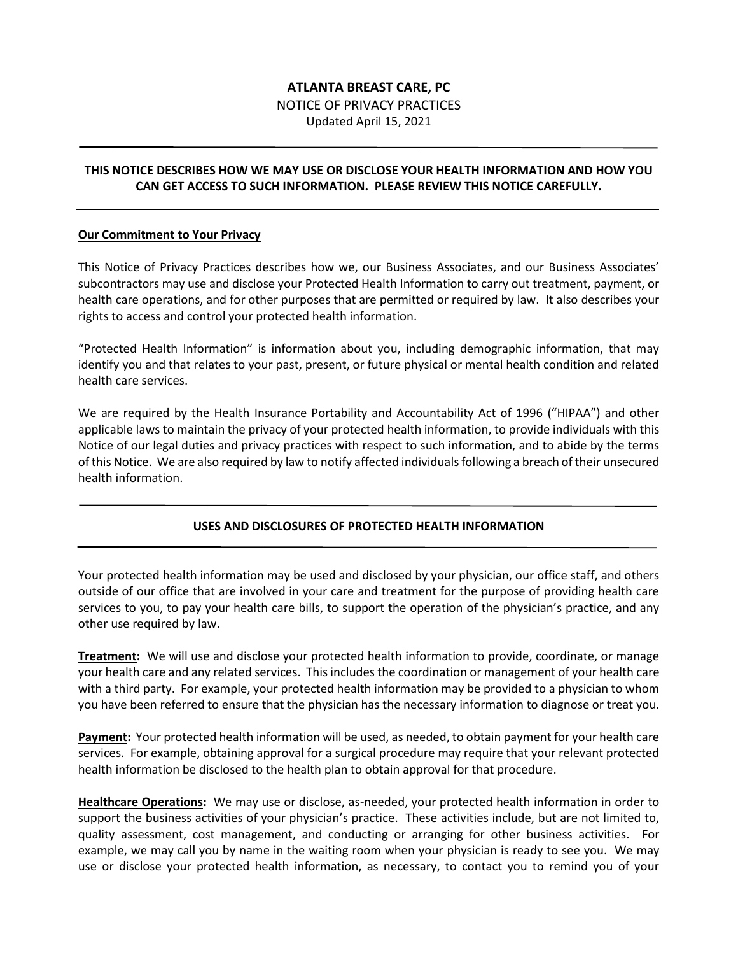# **ATLANTA BREAST CARE, PC** NOTICE OF PRIVACY PRACTICES Updated April 15, 2021

#### **THIS NOTICE DESCRIBES HOW WE MAY USE OR DISCLOSE YOUR HEALTH INFORMATION AND HOW YOU CAN GET ACCESS TO SUCH INFORMATION. PLEASE REVIEW THIS NOTICE CAREFULLY.**

#### **Our Commitment to Your Privacy**

This Notice of Privacy Practices describes how we, our Business Associates, and our Business Associates' subcontractors may use and disclose your Protected Health Information to carry out treatment, payment, or health care operations, and for other purposes that are permitted or required by law. It also describes your rights to access and control your protected health information.

"Protected Health Information" is information about you, including demographic information, that may identify you and that relates to your past, present, or future physical or mental health condition and related health care services.

We are required by the Health Insurance Portability and Accountability Act of 1996 ("HIPAA") and other applicable laws to maintain the privacy of your protected health information, to provide individuals with this Notice of our legal duties and privacy practices with respect to such information, and to abide by the terms of this Notice. We are also required by law to notify affected individuals following a breach of their unsecured health information.

# **USES AND DISCLOSURES OF PROTECTED HEALTH INFORMATION**

Your protected health information may be used and disclosed by your physician, our office staff, and others outside of our office that are involved in your care and treatment for the purpose of providing health care services to you, to pay your health care bills, to support the operation of the physician's practice, and any other use required by law.

**Treatment:** We will use and disclose your protected health information to provide, coordinate, or manage your health care and any related services. This includes the coordination or management of your health care with a third party. For example, your protected health information may be provided to a physician to whom you have been referred to ensure that the physician has the necessary information to diagnose or treat you.

**Payment:** Your protected health information will be used, as needed, to obtain payment for your health care services. For example, obtaining approval for a surgical procedure may require that your relevant protected health information be disclosed to the health plan to obtain approval for that procedure.

**Healthcare Operations:** We may use or disclose, as-needed, your protected health information in order to support the business activities of your physician's practice. These activities include, but are not limited to, quality assessment, cost management, and conducting or arranging for other business activities. For example, we may call you by name in the waiting room when your physician is ready to see you. We may use or disclose your protected health information, as necessary, to contact you to remind you of your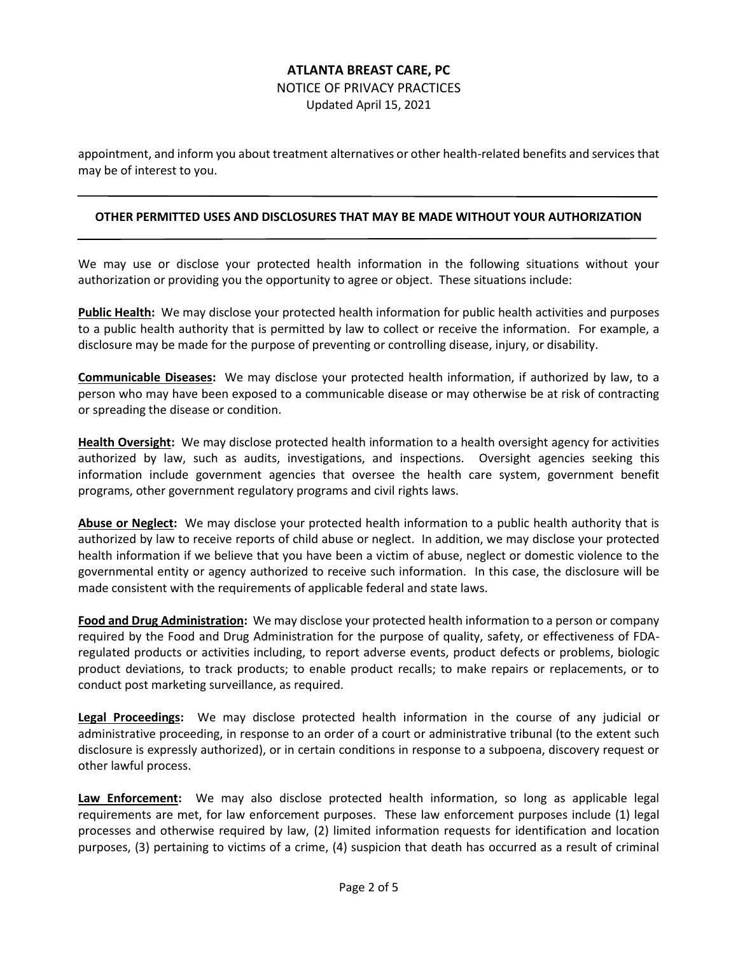NOTICE OF PRIVACY PRACTICES

Updated April 15, 2021

appointment, and inform you about treatment alternatives or other health-related benefits and services that may be of interest to you.

#### **OTHER PERMITTED USES AND DISCLOSURES THAT MAY BE MADE WITHOUT YOUR AUTHORIZATION**

We may use or disclose your protected health information in the following situations without your authorization or providing you the opportunity to agree or object. These situations include:

**Public Health:** We may disclose your protected health information for public health activities and purposes to a public health authority that is permitted by law to collect or receive the information. For example, a disclosure may be made for the purpose of preventing or controlling disease, injury, or disability.

**Communicable Diseases:** We may disclose your protected health information, if authorized by law, to a person who may have been exposed to a communicable disease or may otherwise be at risk of contracting or spreading the disease or condition.

**Health Oversight:** We may disclose protected health information to a health oversight agency for activities authorized by law, such as audits, investigations, and inspections. Oversight agencies seeking this information include government agencies that oversee the health care system, government benefit programs, other government regulatory programs and civil rights laws.

**Abuse or Neglect:** We may disclose your protected health information to a public health authority that is authorized by law to receive reports of child abuse or neglect. In addition, we may disclose your protected health information if we believe that you have been a victim of abuse, neglect or domestic violence to the governmental entity or agency authorized to receive such information. In this case, the disclosure will be made consistent with the requirements of applicable federal and state laws.

**Food and Drug Administration:** We may disclose your protected health information to a person or company required by the Food and Drug Administration for the purpose of quality, safety, or effectiveness of FDAregulated products or activities including, to report adverse events, product defects or problems, biologic product deviations, to track products; to enable product recalls; to make repairs or replacements, or to conduct post marketing surveillance, as required.

**Legal Proceedings:** We may disclose protected health information in the course of any judicial or administrative proceeding, in response to an order of a court or administrative tribunal (to the extent such disclosure is expressly authorized), or in certain conditions in response to a subpoena, discovery request or other lawful process.

**Law Enforcement:** We may also disclose protected health information, so long as applicable legal requirements are met, for law enforcement purposes. These law enforcement purposes include (1) legal processes and otherwise required by law, (2) limited information requests for identification and location purposes, (3) pertaining to victims of a crime, (4) suspicion that death has occurred as a result of criminal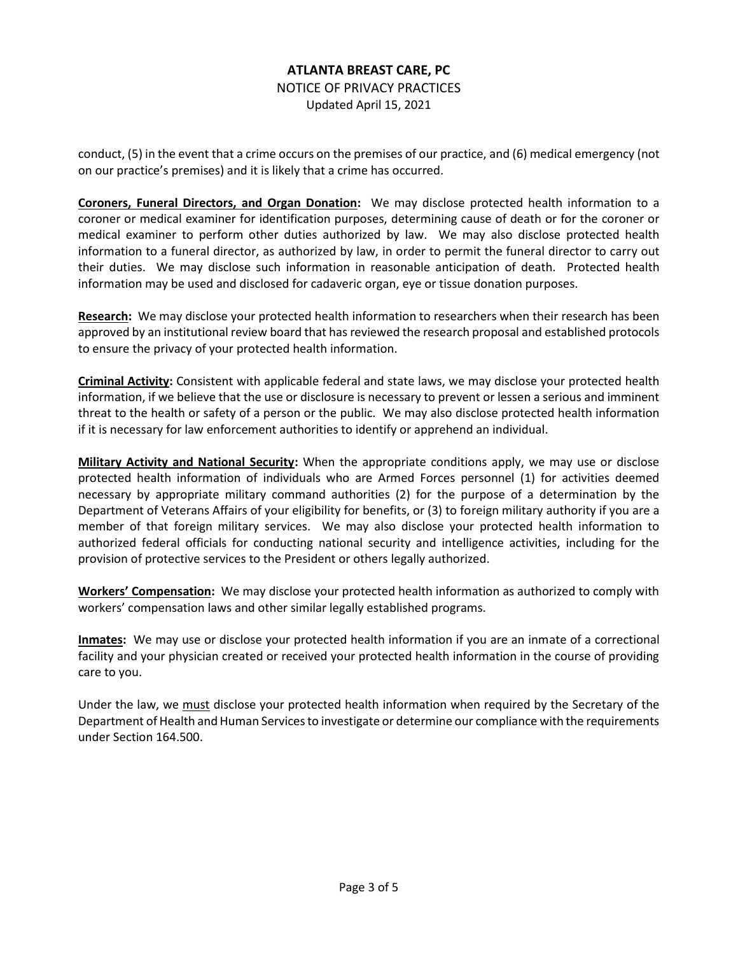NOTICE OF PRIVACY PRACTICES Updated April 15, 2021

conduct, (5) in the event that a crime occurs on the premises of our practice, and (6) medical emergency (not on our practice's premises) and it is likely that a crime has occurred.

**Coroners, Funeral Directors, and Organ Donation:** We may disclose protected health information to a coroner or medical examiner for identification purposes, determining cause of death or for the coroner or medical examiner to perform other duties authorized by law. We may also disclose protected health information to a funeral director, as authorized by law, in order to permit the funeral director to carry out their duties. We may disclose such information in reasonable anticipation of death. Protected health information may be used and disclosed for cadaveric organ, eye or tissue donation purposes.

**Research:** We may disclose your protected health information to researchers when their research has been approved by an institutional review board that has reviewed the research proposal and established protocols to ensure the privacy of your protected health information.

**Criminal Activity:** Consistent with applicable federal and state laws, we may disclose your protected health information, if we believe that the use or disclosure is necessary to prevent or lessen a serious and imminent threat to the health or safety of a person or the public. We may also disclose protected health information if it is necessary for law enforcement authorities to identify or apprehend an individual.

**Military Activity and National Security:** When the appropriate conditions apply, we may use or disclose protected health information of individuals who are Armed Forces personnel (1) for activities deemed necessary by appropriate military command authorities (2) for the purpose of a determination by the Department of Veterans Affairs of your eligibility for benefits, or (3) to foreign military authority if you are a member of that foreign military services. We may also disclose your protected health information to authorized federal officials for conducting national security and intelligence activities, including for the provision of protective services to the President or others legally authorized.

**Workers' Compensation:** We may disclose your protected health information as authorized to comply with workers' compensation laws and other similar legally established programs.

**Inmates:** We may use or disclose your protected health information if you are an inmate of a correctional facility and your physician created or received your protected health information in the course of providing care to you.

Under the law, we must disclose your protected health information when required by the Secretary of the Department of Health and Human Services to investigate or determine our compliance with the requirements under Section 164.500.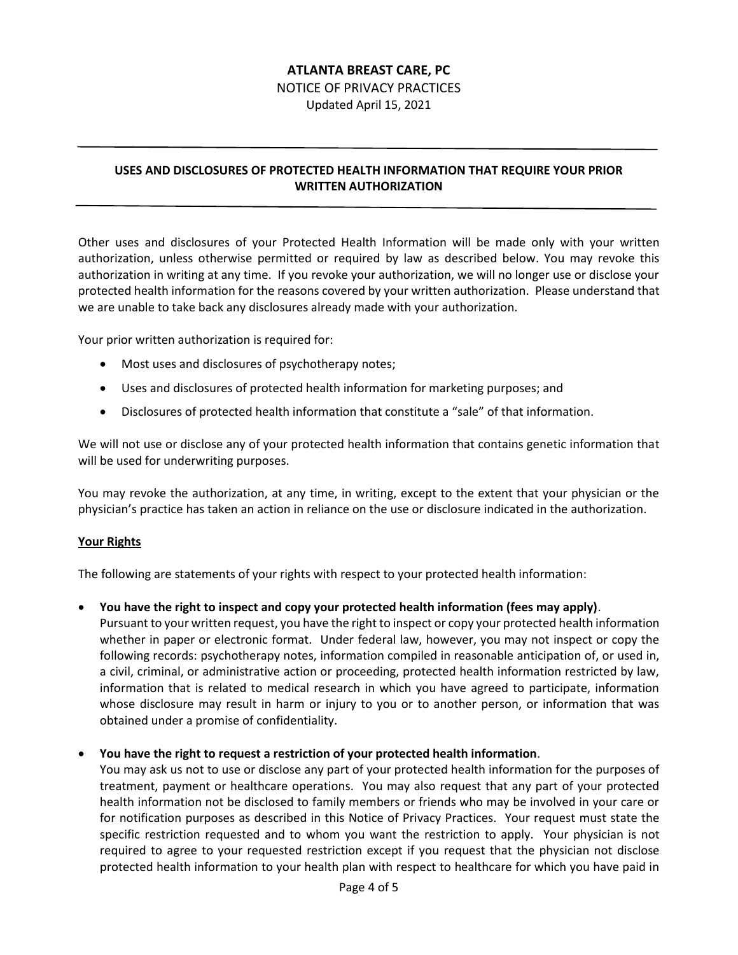NOTICE OF PRIVACY PRACTICES

Updated April 15, 2021

# **USES AND DISCLOSURES OF PROTECTED HEALTH INFORMATION THAT REQUIRE YOUR PRIOR WRITTEN AUTHORIZATION**

Other uses and disclosures of your Protected Health Information will be made only with your written authorization, unless otherwise permitted or required by law as described below. You may revoke this authorization in writing at any time. If you revoke your authorization, we will no longer use or disclose your protected health information for the reasons covered by your written authorization. Please understand that we are unable to take back any disclosures already made with your authorization.

Your prior written authorization is required for:

- Most uses and disclosures of psychotherapy notes;
- Uses and disclosures of protected health information for marketing purposes; and
- Disclosures of protected health information that constitute a "sale" of that information.

We will not use or disclose any of your protected health information that contains genetic information that will be used for underwriting purposes.

You may revoke the authorization, at any time, in writing, except to the extent that your physician or the physician's practice has taken an action in reliance on the use or disclosure indicated in the authorization.

#### **Your Rights**

The following are statements of your rights with respect to your protected health information:

• **You have the right to inspect and copy your protected health information (fees may apply)**.

Pursuant to your written request, you have the right to inspect or copy your protected health information whether in paper or electronic format. Under federal law, however, you may not inspect or copy the following records: psychotherapy notes, information compiled in reasonable anticipation of, or used in, a civil, criminal, or administrative action or proceeding, protected health information restricted by law, information that is related to medical research in which you have agreed to participate, information whose disclosure may result in harm or injury to you or to another person, or information that was obtained under a promise of confidentiality.

#### • **You have the right to request a restriction of your protected health information**.

You may ask us not to use or disclose any part of your protected health information for the purposes of treatment, payment or healthcare operations. You may also request that any part of your protected health information not be disclosed to family members or friends who may be involved in your care or for notification purposes as described in this Notice of Privacy Practices. Your request must state the specific restriction requested and to whom you want the restriction to apply. Your physician is not required to agree to your requested restriction except if you request that the physician not disclose protected health information to your health plan with respect to healthcare for which you have paid in